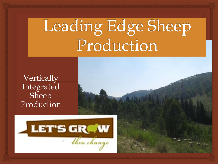Leading Edge Sheep Production

**Vertically** Integrated Sheep Production

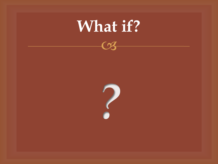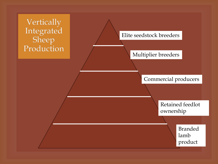Vertically Integrated Sheep Production



#### Multiplier breeders

### Commercial producers

Retained feedlot ownership

> Branded lamb product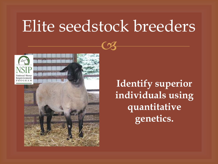## Elite seedstock breeders



**Identify superior individuals using quantitative genetics.**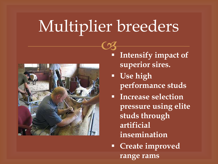# Multiplier breeders



- $\overline{\mathcal{C}}$  **Intensify impact of superior sires.**
	- **Use high performance studs**
	- **Increase selection pressure using elite studs through artificial insemination**
	- **Create improved range rams**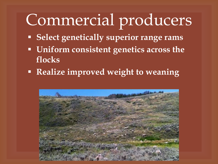## Commercial producers

- **Select genetically superior range rams**
- **Uniform consistent genetics across the flocks**
- **Realize improved weight to weaning**

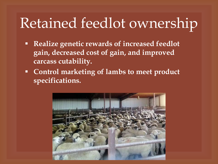## Retained feedlot ownership

- **Realize genetic rewards of increased feedlot gain, decreased cost of gain, and improved carcass cutability.**
- **Control marketing of lambs to meet product specifications.**

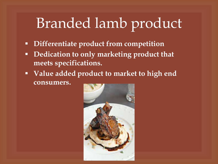## Branded lamb product

- **Differentiate product from competition**
- **Dedication to only marketing product that meets specifications.**
- **Value added product to market to high end consumers.**

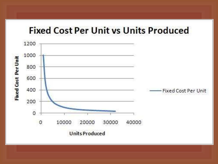### **Fixed Cost Per Unit vs Units Produced**

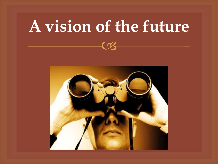# **A vision of the future**

 $C<sub>9</sub>$ 

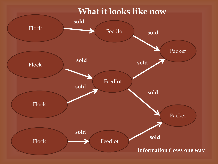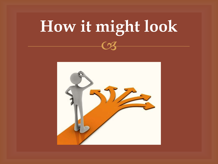# **How it might look**

 $\overline{\mathcal{C}}$ 

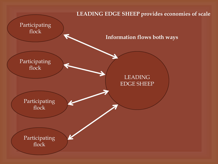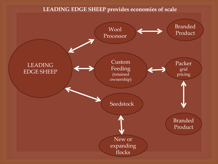#### **LEADING EDGE SHEEP provides economies of scale**